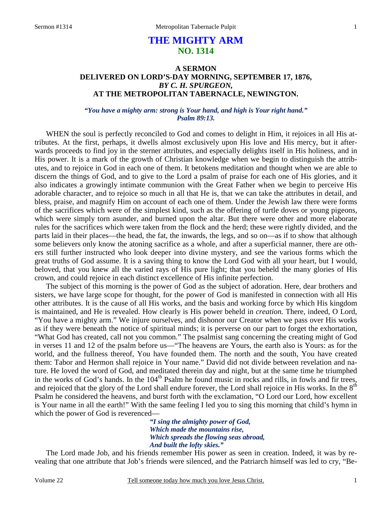# **THE MIGHTY ARM NO. 1314**

## **A SERMON DELIVERED ON LORD'S-DAY MORNING, SEPTEMBER 17, 1876,**  *BY C. H. SPURGEON,*  **AT THE METROPOLITAN TABERNACLE, NEWINGTON.**

### *"You have a mighty arm: strong is Your hand, and high is Your right hand." Psalm 89:13.*

WHEN the soul is perfectly reconciled to God and comes to delight in Him, it rejoices in all His attributes. At the first, perhaps, it dwells almost exclusively upon His love and His mercy, but it afterwards proceeds to find joy in the sterner attributes, and especially delights itself in His holiness, and in His power. It is a mark of the growth of Christian knowledge when we begin to distinguish the attributes, and to rejoice in God in each one of them. It betokens meditation and thought when we are able to discern the things of God, and to give to the Lord a psalm of praise for each one of His glories, and it also indicates a growingly intimate communion with the Great Father when we begin to perceive His adorable character, and to rejoice so much in all that He is, that we can take the attributes in detail, and bless, praise, and magnify Him on account of each one of them. Under the Jewish law there were forms of the sacrifices which were of the simplest kind, such as the offering of turtle doves or young pigeons, which were simply torn asunder, and burned upon the altar. But there were other and more elaborate rules for the sacrifices which were taken from the flock and the herd; these were rightly divided, and the parts laid in their places—the head, the fat, the inwards, the legs, and so on—as if to show that although some believers only know the atoning sacrifice as a whole, and after a superficial manner, there are others still further instructed who look deeper into divine mystery, and see the various forms which the great truths of God assume. It is a saving thing to know the Lord God with all your heart, but I would, beloved, that you knew all the varied rays of His pure light; that you beheld the many glories of His crown, and could rejoice in each distinct excellence of His infinite perfection.

 The subject of this morning is the power of God as the subject of adoration. Here, dear brothers and sisters, we have large scope for thought, for the power of God is manifested in connection with all His other attributes. It is the cause of all His works, and the basis and working force by which His kingdom is maintained, and He is revealed. How clearly is His power beheld in *creation.* There, indeed, O Lord, "You have a mighty arm." We injure ourselves, and dishonor our Creator when we pass over His works as if they were beneath the notice of spiritual minds; it is perverse on our part to forget the exhortation, "What God has created, call not you common." The psalmist sang concerning the creating might of God in verses 11 and 12 of the psalm before us—"The heavens are Yours, the earth also is Yours: as for the world, and the fullness thereof, You have founded them. The north and the south, You have created them: Tabor and Hermon shall rejoice in Your name." David did not divide between revelation and nature. He loved the word of God, and meditated therein day and night, but at the same time he triumphed in the works of God's hands. In the  $104<sup>th</sup>$  Psalm he found music in rocks and rills, in fowls and fir trees, and rejoiced that the glory of the Lord shall endure forever, the Lord shall rejoice in His works. In the  $8<sup>th</sup>$ Psalm he considered the heavens, and burst forth with the exclamation, "O Lord our Lord, how excellent is Your name in all the earth!" With the same feeling I led you to sing this morning that child's hymn in which the power of God is reverenced—

> *"I sing the almighty power of God, Which made the mountains rise, Which spreads the flowing seas abroad, And built the lofty skies."*

 The Lord made Job, and his friends remember His power as seen in creation. Indeed, it was by revealing that one attribute that Job's friends were silenced, and the Patriarch himself was led to cry, "Be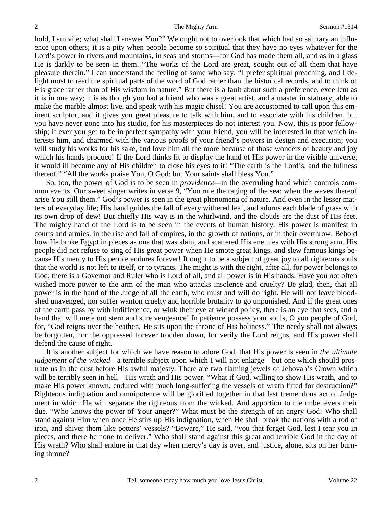hold, I am vile; what shall I answer You?" We ought not to overlook that which had so salutary an influence upon others; it is a pity when people become so spiritual that they have no eyes whatever for the Lord's power in rivers and mountains, in seas and storms—for God has made them all, and as in a glass He is darkly to be seen in them. "The works of the Lord are great, sought out of all them that have pleasure therein." I can understand the feeling of some who say, "I prefer spiritual preaching, and I delight most to read the spiritual parts of the word of God rather than the historical records, and to think of His grace rather than of His wisdom in nature." But there is a fault about such a preference, excellent as it is in one way; it is as though you had a friend who was a great artist, and a master in statuary, able to make the marble almost live, and speak with his magic chisel! You are accustomed to call upon this eminent sculptor, and it gives you great pleasure to talk with him, and to associate with his children, but you have never gone into his studio, for his masterpieces do not interest you. Now, this is poor fellowship; if ever you get to be in perfect sympathy with your friend, you will be interested in that which interests him, and charmed with the various proofs of your friend's powers in design and execution; you will study his works for his sake, and love him all the more because of those wonders of beauty and joy which his hands produce! If the Lord thinks fit to display the hand of His power in the visible universe, it would ill become any of His children to close his eyes to it! "The earth is the Lord's, and the fullness thereof." "All the works praise You, O God; but Your saints shall bless You."

 So, too, the power of God is to be seen in *providence—*in the overruling hand which controls common events. Our sweet singer writes in verse 9, "You rule the raging of the sea: when the waves thereof arise You still them." God's power is seen in the great phenomena of nature. And even in the lesser matters of everyday life; His hand guides the fall of every withered leaf, and adorns each blade of grass with its own drop of dew! But chiefly His way is in the whirlwind, and the clouds are the dust of His feet. The mighty hand of the Lord is to be seen in the events of human history. His power is manifest in courts and armies, in the rise and fall of empires, in the growth of nations, or in their overthrow. Behold how He broke Egypt in pieces as one that was slain, and scattered His enemies with His strong arm. His people did not refuse to sing of His great power when He smote great kings, and slew famous kings because His mercy to His people endures forever! It ought to be a subject of great joy to all righteous souls that the world is not left to itself, or to tyrants. The might is with the right, after all, for power belongs to God; there is a Governor and Ruler who is Lord of all, and all power is in His hands. Have you not often wished more power to the arm of the man who attacks insolence and cruelty? Be glad, then, that all power is in the hand of the Judge of all the earth, who must and will do right. He will not leave bloodshed unavenged, nor suffer wanton cruelty and horrible brutality to go unpunished. And if the great ones of the earth pass by with indifference, or wink their eye at wicked policy, there is an eye that sees, and a hand that will mete out stern and sure vengeance! In patience possess your souls, O you people of God, for, "God reigns over the heathen, He sits upon the throne of His holiness." The needy shall not always be forgotten, nor the oppressed forever trodden down, for verily the Lord reigns, and His power shall defend the cause of right.

 It is another subject for which we have reason to adore God, that His power is seen in *the ultimate judgement of the wicked—*a terrible subject upon which I will not enlarge—but one which should prostrate us in the dust before His awful majesty. There are two flaming jewels of Jehovah's Crown which will be terribly seen in hell—His wrath and His power. "What if God, willing to show His wrath, and to make His power known, endured with much long-suffering the vessels of wrath fitted for destruction?" Righteous indignation and omnipotence will be glorified together in that last tremendous act of Judgment in which He will separate the righteous from the wicked. And apportion to the unbelievers their due. "Who knows the power of Your anger?" What must be the strength of an angry God! Who shall stand against Him when once He stirs up His indignation, when He shall break the nations with a rod of iron, and shiver them like potters' vessels? "Beware," He said, "you that forget God, lest I tear you in pieces, and there be none to deliver." Who shall stand against this great and terrible God in the day of His wrath? Who shall endure in that day when mercy's day is over, and justice, alone, sits on her burning throne?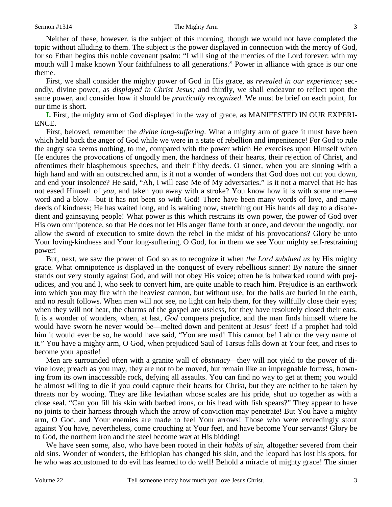Neither of these, however, is the subject of this morning, though we would not have completed the topic without alluding to them. The subject is the power displayed in connection with the mercy of God, for so Ethan begins this noble covenant psalm: "I will sing of the mercies of the Lord forever: with my mouth will I make known Your faithfulness to all generations." Power in alliance with grace is our one theme.

 First, we shall consider the mighty power of God in His grace, as *revealed in our experience;* secondly, divine power, as *displayed in Christ Jesus;* and thirdly, we shall endeavor to reflect upon the same power, and consider how it should be *practically recognized*. We must be brief on each point, for our time is short.

**I.** First, the mighty arm of God displayed in the way of grace, as MANIFESTED IN OUR EXPERI-ENCE.

 First, beloved, remember the *divine long-suffering*. What a mighty arm of grace it must have been which held back the anger of God while we were in a state of rebellion and impenitence! For God to rule the angry sea seems nothing, to me, compared with the power which He exercises upon Himself when He endures the provocations of ungodly men, the hardness of their hearts, their rejection of Christ, and oftentimes their blasphemous speeches, and their filthy deeds. O sinner, when you are sinning with a high hand and with an outstretched arm, is it not a wonder of wonders that God does not cut you down, and end your insolence? He said, "Ah, I will ease Me of My adversaries." Is it not a marvel that He has not eased Himself of *you,* and taken you away with a stroke? You know how it is with some men—a word and a blow—but it has not been so with God! There have been many words of love, and many deeds of kindness; He has waited long, and is waiting now, stretching out His hands all day to a disobedient and gainsaying people! What power is this which restrains its own power, the power of God over His own omnipotence, so that He does not let His anger flame forth at once, and devour the ungodly, nor allow the sword of execution to smite down the rebel in the midst of his provocations? Glory be unto Your loving-kindness and Your long-suffering, O God, for in them we see Your mighty self-restraining power!

 But, next, we saw the power of God so as to recognize it when *the Lord subdued us* by His mighty grace. What omnipotence is displayed in the conquest of every rebellious sinner! By nature the sinner stands out very stoutly against God, and will not obey His voice; often he is bulwarked round with prejudices, and you and I, who seek to convert him, are quite unable to reach him. Prejudice is an earthwork into which you may fire with the heaviest cannon, but without use, for the balls are buried in the earth, and no result follows. When men will not see, no light can help them, for they willfully close their eyes; when they will not hear, the charms of the gospel are useless, for they have resolutely closed their ears. It is a wonder of wonders, when, at last, *God* conquers prejudice, and the man finds himself where he would have sworn he never would be—melted down and penitent at Jesus' feet! If a prophet had told him it would ever be so, he would have said, "You are mad! This cannot be! I abhor the very name of it." You have a mighty arm, O God, when prejudiced Saul of Tarsus falls down at Your feet, and rises to become your apostle!

 Men are surrounded often with a granite wall of *obstinacy—*they will not yield to the power of divine love; preach as you may, they are not to be moved, but remain like an impregnable fortress, frowning from its own inaccessible rock, defying all assaults. You can find no way to get at them; you would be almost willing to die if you could capture their hearts for Christ, but they are neither to be taken by threats nor by wooing. They are like leviathan whose scales are his pride, shut up together as with a close seal. "Can you fill his skin with barbed irons, or his head with fish spears?" They appear to have no joints to their harness through which the arrow of conviction may penetrate! But You have a mighty arm, O God, and Your enemies are made to feel Your arrows! Those who were exceedingly stout against You have, nevertheless, come crouching at Your feet, and have become Your servants! Glory be to God, the northern iron and the steel become wax at His bidding!

 We have seen some, also, who have been rooted in their *habits of sin*, altogether severed from their old sins. Wonder of wonders, the Ethiopian has changed his skin, and the leopard has lost his spots, for he who was accustomed to do evil has learned to do well! Behold a miracle of mighty grace! The sinner

3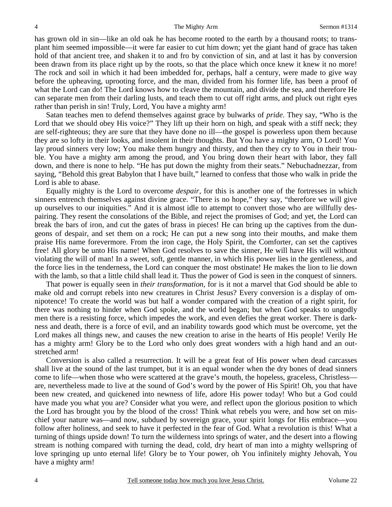has grown old in sin—like an old oak he has become rooted to the earth by a thousand roots; to transplant him seemed impossible—it were far easier to cut him down; yet the giant hand of grace has taken hold of that ancient tree, and shaken it to and fro by conviction of sin, and at last it has by conversion been drawn from its place right up by the roots, so that the place which once knew it knew it no more! The rock and soil in which it had been imbedded for, perhaps, half a century, were made to give way before the upheaving, uprooting force, and the man, divided from his former life, has been a proof of what the Lord can do! The Lord knows how to cleave the mountain, and divide the sea, and therefore He can separate men from their darling lusts, and teach them to cut off right arms, and pluck out right eyes rather than perish in sin! Truly, Lord, You have a mighty arm!

 Satan teaches men to defend themselves against grace by bulwarks of *pride*. They say, "Who is the Lord that we should obey His voice?" They lift up their horn on high, and speak with a stiff neck; they are self-righteous; they are sure that they have done no ill—the gospel is powerless upon them because they are so lofty in their looks, and insolent in their thoughts. But You have a mighty arm, O Lord! You lay proud sinners very low; You make them hungry and thirsty, and then they cry to You in their trouble. You have a mighty arm among the proud, and You bring down their heart with labor, they fall down, and there is none to help. "He has put down the mighty from their seats." Nebuchadnezzar, from saying, "Behold this great Babylon that I have built," learned to confess that those who walk in pride the Lord is able to abase.

 Equally mighty is the Lord to overcome *despair,* for this is another one of the fortresses in which sinners entrench themselves against divine grace. "There is no hope," they say, "therefore we will give up ourselves to our iniquities." And it is almost idle to attempt to convert those who are willfully despairing. They resent the consolations of the Bible, and reject the promises of God; and yet, the Lord can break the bars of iron, and cut the gates of brass in pieces! He can bring up the captives from the dungeons of despair, and set them on a rock; He can put a new song into their mouths, and make them praise His name forevermore. From the iron cage, the Holy Spirit, the Comforter, can set the captives free! All glory be unto His name! When God resolves to save the sinner, He will have His will without violating the will of man! In a sweet, soft, gentle manner, in which His power lies in the gentleness, and the force lies in the tenderness, the Lord can conquer the most obstinate! He makes the lion to lie down with the lamb, so that a little child shall lead it. Thus the power of God is seen in the conquest of sinners.

 That power is equally seen in *their transformation,* for is it not a marvel that God should be able to make old and corrupt rebels into new creatures in Christ Jesus? Every conversion is a display of omnipotence! To create the world was but half a wonder compared with the creation of a right spirit, for there was nothing to hinder when God spoke, and the world began; but when God speaks to ungodly men there is a resisting force, which impedes the work, and even defies the great worker. There is darkness and death, there is a force of evil, and an inability towards good which must be overcome, yet the Lord makes all things new, and causes the new creation to arise in the hearts of His people! Verily He has a mighty arm! Glory be to the Lord who only does great wonders with a high hand and an outstretched arm!

 Conversion is also called a resurrection. It will be a great feat of His power when dead carcasses shall live at the sound of the last trumpet, but it is an equal wonder when the dry bones of dead sinners come to life—when those who were scattered at the grave's mouth, the hopeless, graceless, Christless are, nevertheless made to live at the sound of God's word by the power of His Spirit! Oh, you that have been new created, and quickened into newness of life, adore His power today! Who but a God could have made you what you are? Consider what you were, and reflect upon the glorious position to which the Lord has brought you by the blood of the cross! Think what rebels you were, and how set on mischief your nature was—and now, subdued by sovereign grace, your spirit longs for His embrace—you follow after holiness, and seek to have it perfected in the fear of God. What a revolution is this! What a turning of things upside down! To turn the wilderness into springs of water, and the desert into a flowing stream is nothing compared with turning the dead, cold, dry heart of man into a mighty wellspring of love springing up unto eternal life! Glory be to Your power, oh You infinitely mighty Jehovah, You have a mighty arm!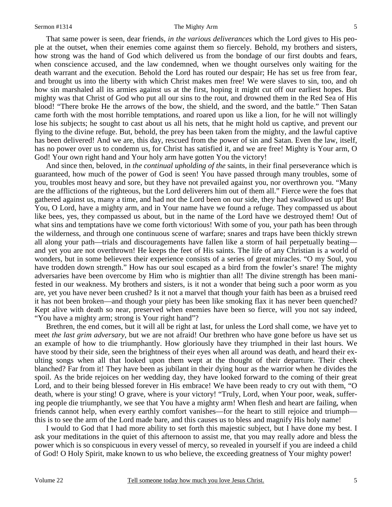That same power is seen, dear friends, *in the various deliverances* which the Lord gives to His people at the outset, when their enemies come against them so fiercely. Behold, my brothers and sisters, how strong was the hand of God which delivered us from the bondage of our first doubts and fears, when conscience accused, and the law condemned, when we thought ourselves only waiting for the death warrant and the execution. Behold the Lord has routed our despair; He has set us free from fear, and brought us into the liberty with which Christ makes men free! We were slaves to sin, too, and oh how sin marshaled all its armies against us at the first, hoping it might cut off our earliest hopes. But mighty was that Christ of God who put all our sins to the rout, and drowned them in the Red Sea of His blood! "There broke He the arrows of the bow, the shield, and the sword, and the battle." Then Satan came forth with the most horrible temptations, and roared upon us like a lion, for he will not willingly lose his subjects; he sought to cast about us all his nets, that he might hold us captive, and prevent our flying to the divine refuge. But, behold, the prey has been taken from the mighty, and the lawful captive has been delivered! And we are, this day, rescued from the power of sin and Satan. Even the law, itself, has no power over us to condemn us, for Christ has satisfied it, and we are free! Mighty is Your arm, O God! Your own right hand and Your holy arm have gotten You the victory!

 And since then, beloved, in *the continual upholding of the* saints, in their final perseverance which is guaranteed, how much of the power of God is seen! You have passed through many troubles, some of you, troubles most heavy and sore, but they have not prevailed against you, nor overthrown you. "Many are the afflictions of the righteous, but the Lord deliverers him out of them all." Fierce were the foes that gathered against us, many a time, and had not the Lord been on our side, they had swallowed us up! But You, O Lord, have a mighty arm, and in Your name have we found a refuge. They compassed us about like bees, yes, they compassed us about, but in the name of the Lord have we destroyed them! Out of what sins and temptations have we come forth victorious! With some of you, your path has been through the wilderness, and through one continuous scene of warfare; snares and traps have been thickly strewn all along your path—trials and discouragements have fallen like a storm of hail perpetually beating and yet you are not overthrown! He keeps the feet of His saints. The life of any Christian is a world of wonders, but in some believers their experience consists of a series of great miracles. "O my Soul, you have trodden down strength." How has our soul escaped as a bird from the fowler's snare! The mighty adversaries have been overcome by Him who is mightier than all! The divine strength has been manifested in our weakness. My brothers and sisters, is it not a wonder that being such a poor worm as you are, yet you have never been crushed? Is it not a marvel that though your faith has been as a bruised reed it has not been broken—and though your piety has been like smoking flax it has never been quenched? Kept alive with death so near, preserved when enemies have been so fierce, will you not say indeed, "You have a mighty arm; strong is Your right hand"?

 Brethren, the end comes, but it will all be right at last, for unless the Lord shall come, we have yet to meet *the last grim adversary*, but we are not afraid! Our brethren who have gone before us have set us an example of how to die triumphantly. How gloriously have they triumphed in their last hours. We have stood by their side, seen the brightness of their eyes when all around was death, and heard their exulting songs when all that looked upon them wept at the thought of their departure. Their cheek blanched? Far from it! They have been as jubilant in their dying hour as the warrior when he divides the spoil. As the bride rejoices on her wedding day, they have looked forward to the coming of their great Lord, and to their being blessed forever in His embrace! We have been ready to cry out with them, "O death, where is your sting! O grave, where is your victory! "Truly, Lord, when Your poor, weak, suffering people die triumphantly, we see that You have a mighty arm! When flesh and heart are failing, when friends cannot help, when every earthly comfort vanishes—for the heart to still rejoice and triumph this is to see the arm of the Lord made bare, and this causes us to bless and magnify His holy name!

 I would to God that I had more ability to set forth this majestic subject, but I have done my best. I ask your meditations in the quiet of this afternoon to assist me, that you may really adore and bless the power which is so conspicuous in every vessel of mercy, so revealed in yourself if you are indeed a child of God! O Holy Spirit, make known to us who believe, the exceeding greatness of Your mighty power!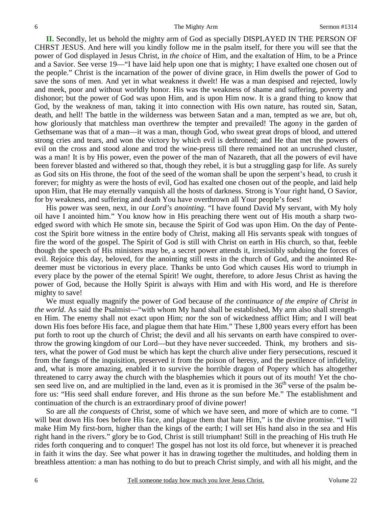**II.** Secondly, let us behold the mighty arm of God as specially DISPLAYED IN THE PERSON OF CHRST JESUS. And here will you kindly follow me in the psalm itself, for there you will see that the power of God displayed in Jesus Christ, in *the choice* of Him, and the exaltation of Him, to be a Prince and a Savior. See verse 19—"I have laid help upon one that is mighty; I have exalted one chosen out of the people." Christ is the incarnation of the power of divine grace, in Him dwells the power of God to save the sons of men. And yet in what weakness it dwelt! He was a man despised and rejected, lowly and meek, poor and without worldly honor. His was the weakness of shame and suffering, poverty and dishonor; but the power of God was upon Him, and is upon Him now. It is a grand thing to know that God, by the weakness of man, taking it into connection with His own nature, has routed sin, Satan, death, and hell! The battle in the wilderness was between Satan and a man, tempted as we are, but oh, how gloriously that matchless man overthrew the tempter and prevailed! The agony in the garden of Gethsemane was that of a man—it was a man, though God, who sweat great drops of blood, and uttered strong cries and tears, and won the victory by which evil is dethroned; and He that met the powers of evil on the cross and stood alone and trod the wine-press till there remained not an uncrushed cluster, was a man! It is by His power, even the power of the man of Nazareth, that all the powers of evil have been forever blasted and withered so that, though they rebel, it is but a struggling gasp for life. As surely as God sits on His throne, the foot of the seed of the woman shall be upon the serpent's head, to crush it forever; for mighty as were the hosts of evil, God has exalted one chosen out of the people, and laid help upon Him, that He may eternally vanquish all the hosts of darkness. Strong is Your right hand, O Savior, for by weakness, and suffering and death You have overthrown all Your people's foes!

 His power was seen, next, in our *Lord's anointing*. "I have found David My servant, with My holy oil have I anointed him." You know how in His preaching there went out of His mouth a sharp twoedged sword with which He smote sin, because the Spirit of God was upon Him. On the day of Pentecost the Spirit bore witness in the entire body of Christ, making all His servants speak with tongues of fire the word of the gospel. The Spirit of God is still with Christ on earth in His church, so that, feeble though the speech of His ministers may be, a secret power attends it, irresistibly subduing the forces of evil. Rejoice this day, beloved, for the anointing still rests in the church of God, and the anointed Redeemer must be victorious in every place. Thanks be unto God which causes His word to triumph in every place by the power of the eternal Spirit! We ought, therefore, to adore Jesus Christ as having the power of God, because the Holly Spirit is always with Him and with His word, and He is therefore mighty to save!

 We must equally magnify the power of God because of *the continuance of the empire of Christ in the world*. As said the Psalmist—"with whom My hand shall be established, My arm also shall strengthen Him. The enemy shall not exact upon Him; nor the son of wickedness afflict Him; and I will beat down His foes before His face, and plague them that hate Him." These 1,800 years every effort has been put forth to root up the church of Christ; the devil and all his servants on earth have conspired to overthrow the growing kingdom of our Lord—but they have never succeeded. Think, my brothers and sisters, what the power of God must be which has kept the church alive under fiery persecutions, rescued it from the fangs of the inquisition, preserved it from the poison of heresy, and the pestilence of infidelity, and, what is more amazing, enabled it to survive the horrible dragon of Popery which has altogether threatened to carry away the church with the blasphemies which it pours out of its mouth! Yet the chosen seed live on, and are multiplied in the land, even as it is promised in the 36<sup>th</sup> verse of the psalm before us: "His seed shall endure forever, and His throne as the sun before Me." The establishment and continuation of the church is an extraordinary proof of divine power!

 So are all *the conquests* of Christ, some of which we have seen, and more of which are to come. "I will beat down His foes before His face, and plague them that hate Him," is the divine promise. "I will make Him My first-born, higher than the kings of the earth; I will set His hand also in the sea and His right hand in the rivers." glory be to God, Christ is still triumphant! Still in the preaching of His truth He rides forth conquering and to conquer! The gospel has not lost its old force, but whenever it is preached in faith it wins the day. See what power it has in drawing together the multitudes, and holding them in breathless attention: a man has nothing to do but to preach Christ simply, and with all his might, and the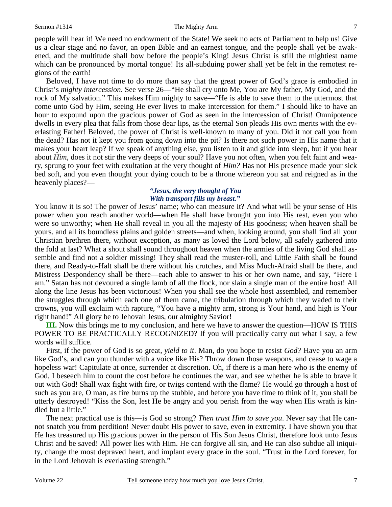#### Sermon #1314 The Mighty Arm

people will hear it! We need no endowment of the State! We seek no acts of Parliament to help us! Give us a clear stage and no favor, an open Bible and an earnest tongue, and the people shall yet be awakened, and the multitude shall bow before the people's King! Jesus Christ is still the mightiest name which can be pronounced by mortal tongue! Its all-subduing power shall yet be felt in the remotest regions of the earth!

 Beloved, I have not time to do more than say that the great power of God's grace is embodied in Christ's *mighty intercession*. See verse 26—"He shall cry unto Me, You are My father, My God, and the rock of My salvation." This makes Him mighty to save—"He is able to save them to the uttermost that come unto God by Him, seeing He ever lives to make intercession for them." I should like to have an hour to expound upon the gracious power of God as seen in the intercession of Christ! Omnipotence dwells in every plea that falls from those dear lips, as the eternal Son pleads His own merits with the everlasting Father! Beloved, the power of Christ is well-known to many of you. Did it not call you from the dead? Has not it kept you from going down into the pit? Is there not such power in His name that it makes your heart leap? If we speak of anything else, you listen to it and glide into sleep, but if you hear about *Him,* does it not stir the very deeps of your soul? Have you not often, when you felt faint and weary, sprung to your feet with exultation at the very thought of *Him?* Has not His presence made your sick bed soft, and you even thought your dying couch to be a throne whereon you sat and reigned as in the heavenly places?—

#### *"Jesus, the very thought of You With transport fills my breast."*

You know it is so! The power of Jesus' name; who can measure it? And what will be your sense of His power when you reach another world—when He shall have brought you into His rest, even you who were so unworthy; when He shall reveal in you all the majesty of His goodness; when heaven shall be yours. and all its boundless plains and golden streets—and when, looking around, you shall find all your Christian brethren there, without exception, as many as loved the Lord below, all safely gathered into the fold at last? What a shout shall sound throughout heaven when the armies of the living God shall assemble and find not a soldier missing! They shall read the muster-roll, and Little Faith shall be found there, and Ready-to-Halt shall be there without his crutches, and Miss Much-Afraid shall be there, and Mistress Despondency shall be there—each able to answer to his or her own name, and say, "Here I am." Satan has not devoured a single lamb of all the flock, nor slain a single man of the entire host! All along the line Jesus has been victorious! When you shall see the whole host assembled, and remember the struggles through which each one of them came, the tribulation through which they waded to their crowns, you will exclaim with rapture, "You have a mighty arm, strong is Your hand, and high is Your right hand!" All glory be to Jehovah Jesus, our almighty Savior!

**III.** Now this brings me to my conclusion, and here we have to answer the question—HOW IS THIS POWER TO BE PRACTICALLY RECOGNIZED? If you will practically carry out what I say, a few words will suffice.

 First, if the power of God is so great, *yield to it*. Man, do you hope to resist *God?* Have you an arm like God's, and can you thunder with a voice like His? Throw down those weapons, and cease to wage a hopeless war! Capitulate at once, surrender at discretion. Oh, if there is a man here who is the enemy of God, I beseech him to count the cost before he continues the war, and see whether he is able to brave it out with God! Shall wax fight with fire, or twigs contend with the flame? He would go through a host of such as you are, O man, as fire burns up the stubble, and before you have time to think of it, you shall be utterly destroyed! "Kiss the Son, lest He be angry and you perish from the way when His wrath is kindled but a little."

 The next practical use is this—is God so strong? *Then trust Him to save you*. Never say that He cannot snatch you from perdition! Never doubt His power to save, even in extremity. I have shown you that He has treasured up His gracious power in the person of His Son Jesus Christ, therefore look unto Jesus Christ and be saved! All power lies with Him. He can forgive all sin, and He can also subdue all iniquity, change the most depraved heart, and implant every grace in the soul. "Trust in the Lord forever, for in the Lord Jehovah is everlasting strength."